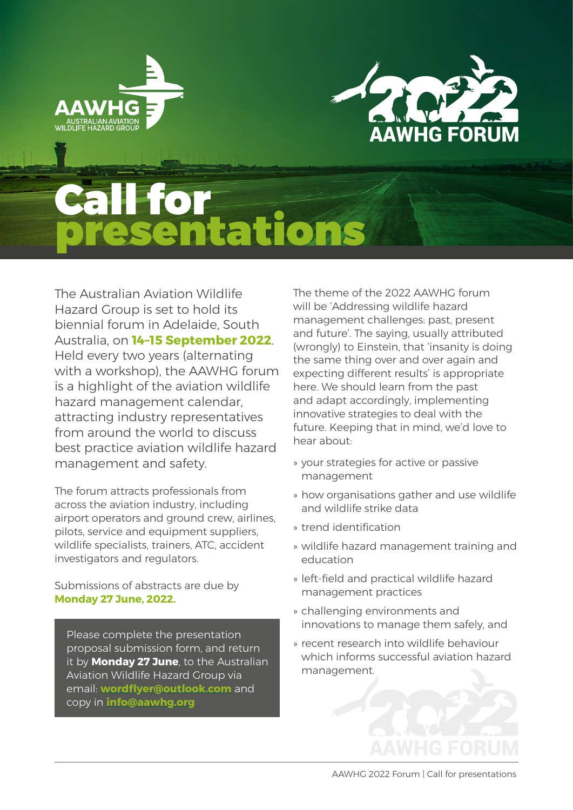



# Call for<br>presentations

The Australian Aviation Wildlife Hazard Group is set to hold its biennial forum in Adelaide, South Australia, on **14–15 September 2022**. Held every two years (alternating with a workshop), the AAWHG forum is a highlight of the aviation wildlife hazard management calendar, attracting industry representatives from around the world to discuss best practice aviation wildlife hazard management and safety.

The forum attracts professionals from across the aviation industry, including airport operators and ground crew, airlines, pilots, service and equipment suppliers, wildlife specialists, trainers, ATC, accident investigators and regulators.

Submissions of abstracts are due by **Monday 27 June, 2022.**

Please complete the presentation proposal submission form, and return it by **Monday 27 June**, to the Australian Aviation Wildlife Hazard Group via email: **[wordflyer@outlook.com](mailto:wordflyer@outlook.com)** and copy in **[info@aawhg.org](mailto:info@aawhg.org)**

The theme of the 2022 AAWHG forum will be 'Addressing wildlife hazard management challenges: past, present and future'. The saying, usually attributed (wrongly) to Einstein, that 'insanity is doing the same thing over and over again and expecting different results' is appropriate here. We should learn from the past and adapt accordingly, implementing innovative strategies to deal with the future. Keeping that in mind, we'd love to hear about:

- » your strategies for active or passive management
- » how organisations gather and use wildlife and wildlife strike data
- » trend identification
- » wildlife hazard management training and education
- » left-field and practical wildlife hazard management practices
- » challenging environments and innovations to manage them safely, and
- » recent research into wildlife behaviour which informs successful aviation hazard management.

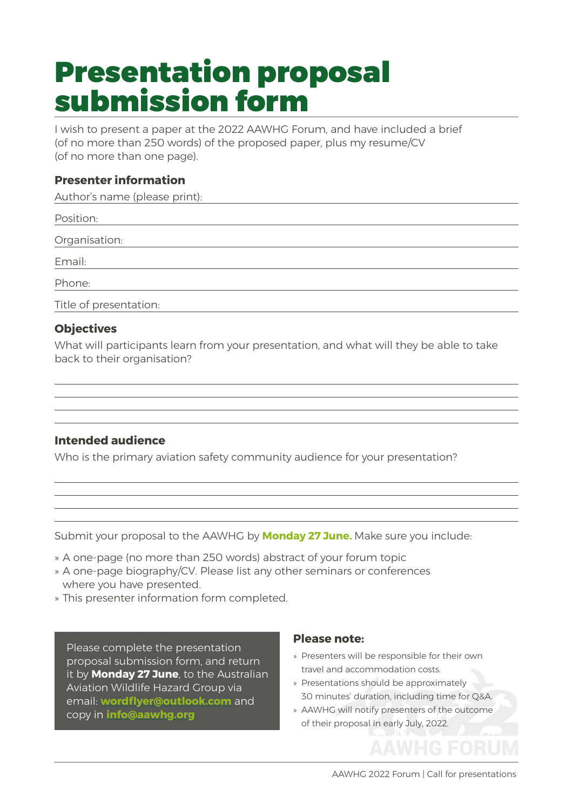### Presentation proposal submission form

I wish to present a paper at the 2022 AAWHG Forum, and have included a brief (of no more than 250 words) of the proposed paper, plus my resume/CV (of no more than one page).

#### **Presenter information**

Author's name (please print):

| Position:              |  |
|------------------------|--|
| Organisation:          |  |
| Email:                 |  |
| Phone:                 |  |
| Title of presentation: |  |

#### **Objectives**

What will participants learn from your presentation, and what will they be able to take back to their organisation?

#### **Intended audience**

Who is the primary aviation safety community audience for your presentation?

Submit your proposal to the AAWHG by **Monday 27 June.** Make sure you include:

- » A one-page (no more than 250 words) abstract of your forum topic
- » A one-page biography/CV. Please list any other seminars or conferences where you have presented.
- » This presenter information form completed.

Please complete the presentation proposal submission form, and return it by **Monday 27 June**, to the Australian Aviation Wildlife Hazard Group via email: **[wordflyer@outlook.com](mailto:wordflyer@outlook.com)** and copy in **[info@aawhg.org](mailto:info@aawhg.org)**

#### **Please note:**

- » Presenters will be responsible for their own travel and accommodation costs.
- » Presentations should be approximately 30 minutes' duration, including time for Q&A.
- » AAWHG will notify presenters of the outcome of their proposal in early July, 2022.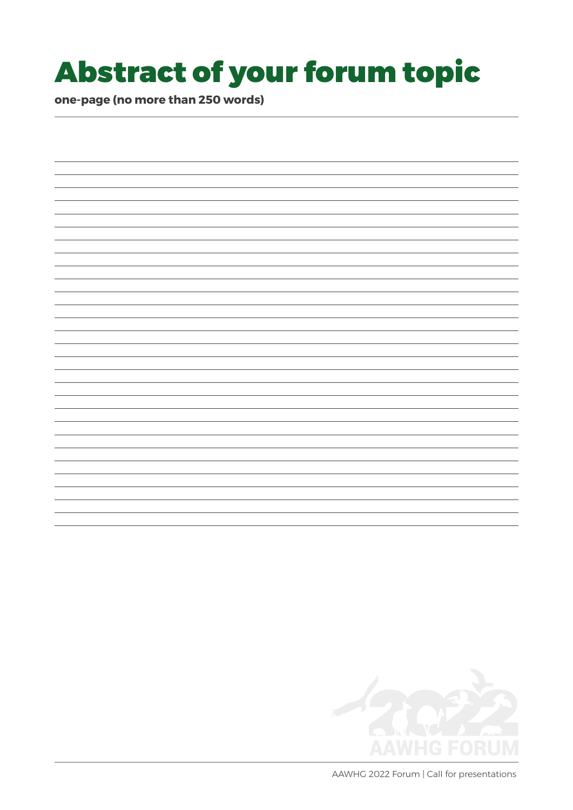## Abstract of your forum topic

**one-page (no more than 250 words)** 



AAWHG 2022 Forum | Call for presentations